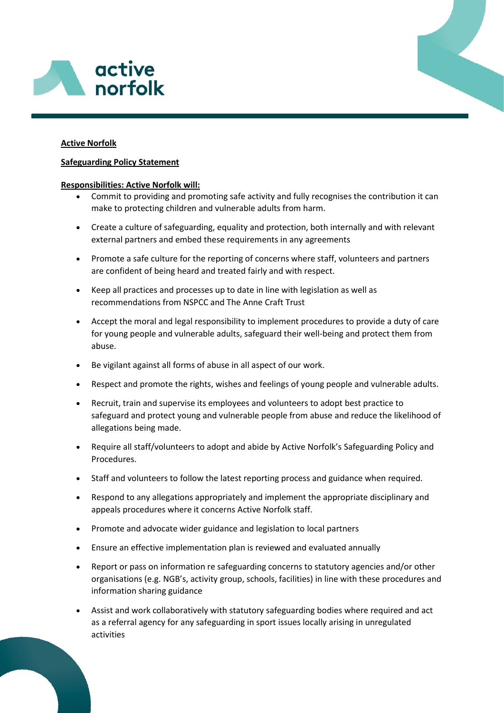

# **Active Norfolk**

## **Safeguarding Policy Statement**

### **Responsibilities: Active Norfolk will:**

- Commit to providing and promoting safe activity and fully recognises the contribution it can make to protecting children and vulnerable adults from harm.
- Create a culture of safeguarding, equality and protection, both internally and with relevant external partners and embed these requirements in any agreements
- Promote a safe culture for the reporting of concerns where staff, volunteers and partners are confident of being heard and treated fairly and with respect.
- Keep all practices and processes up to date in line with legislation as well as recommendations from NSPCC and The Anne Craft Trust
- Accept the moral and legal responsibility to implement procedures to provide a duty of care for young people and vulnerable adults, safeguard their well-being and protect them from abuse.
- Be vigilant against all forms of abuse in all aspect of our work.
- Respect and promote the rights, wishes and feelings of young people and vulnerable adults.
- Recruit, train and supervise its employees and volunteers to adopt best practice to safeguard and protect young and vulnerable people from abuse and reduce the likelihood of allegations being made.
- Require all staff/volunteers to adopt and abide by Active Norfolk's Safeguarding Policy and Procedures.
- Staff and volunteers to follow the latest reporting process and guidance when required.
- Respond to any allegations appropriately and implement the appropriate disciplinary and appeals procedures where it concerns Active Norfolk staff.
- Promote and advocate wider guidance and legislation to local partners
- Ensure an effective implementation plan is reviewed and evaluated annually
- Report or pass on information re safeguarding concerns to statutory agencies and/or other organisations (e.g. NGB's, activity group, schools, facilities) in line with these procedures and information sharing guidance
- Assist and work collaboratively with statutory safeguarding bodies where required and act as a referral agency for any safeguarding in sport issues locally arising in unregulated activities